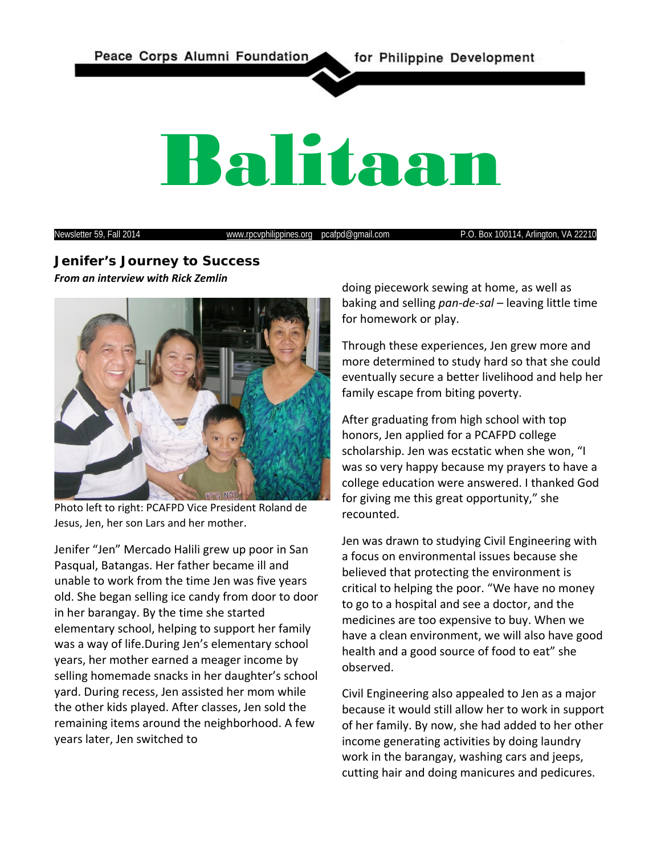Peace Corps Alumni Foundation

for Philippine Development

# Balitaan

Newsletter 59, Fall 2014 **www.rpcvphilippines.org** pcafpd@gmail.com P.O. Box 100114, Arlington, VA 22210

# **Jenifer's Journey to Success** *From an interview with Rick Zemlin*



Photo left to right: PCAFPD Vice President Roland de Jesus, Jen, her son Lars and her mother.

Jenifer "Jen" Mercado Halili grew up poor in San Pasqual, Batangas. Her father became ill and unable to work from the time Jen was five years old. She began selling ice candy from door to door in her barangay. By the time she started elementary school, helping to support her family was a way of life.During Jen's elementary school years, her mother earned a meager income by selling homemade snacks in her daughter's school yard. During recess, Jen assisted her mom while the other kids played. After classes, Jen sold the remaining items around the neighborhood. A few years later, Jen switched to

doing piecework sewing at home, as well as baking and selling *pan-de-sal* – leaving little time for homework or play.

Through these experiences, Jen grew more and more determined to study hard so that she could eventually secure a better livelihood and help her family escape from biting poverty.

After graduating from high school with top honors, Jen applied for a PCAFPD college scholarship. Jen was ecstatic when she won, "I was so very happy because my prayers to have a college education were answered. I thanked God for giving me this great opportunity," she recounted.

Jen was drawn to studying Civil Engineering with a focus on environmental issues because she believed that protecting the environment is critical to helping the poor. "We have no money to go to a hospital and see a doctor, and the medicines are too expensive to buy. When we have a clean environment, we will also have good health and a good source of food to eat" she observed.

Civil Engineering also appealed to Jen as a major because it would still allow her to work in support of her family. By now, she had added to her other income generating activities by doing laundry work in the barangay, washing cars and jeeps, cutting hair and doing manicures and pedicures.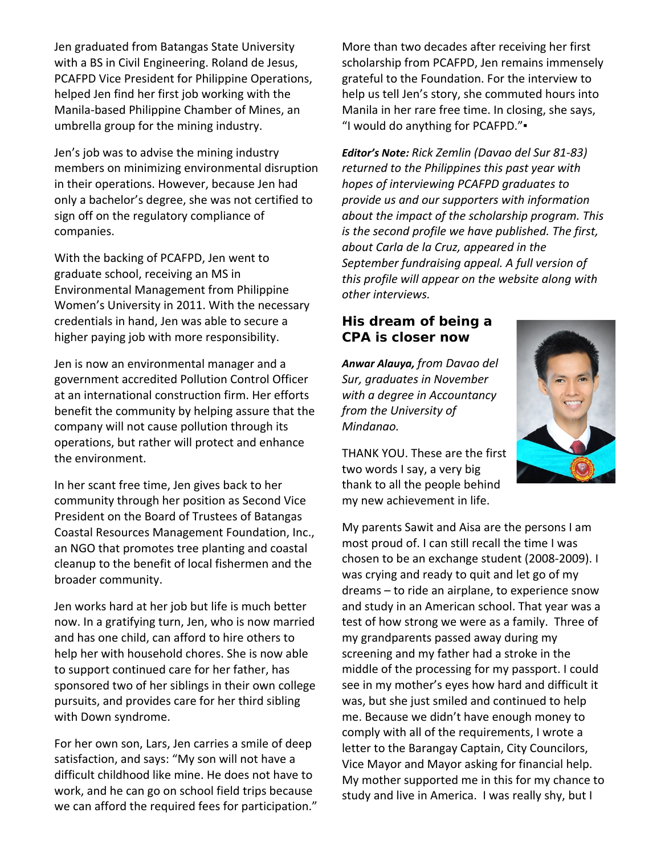Jen graduated from Batangas State University with a BS in Civil Engineering. Roland de Jesus, PCAFPD Vice President for Philippine Operations, helped Jen find her first job working with the Manila-based Philippine Chamber of Mines, an umbrella group for the mining industry.

Jen's job was to advise the mining industry members on minimizing environmental disruption in their operations. However, because Jen had only a bachelor's degree, she was not certified to sign off on the regulatory compliance of companies.

With the backing of PCAFPD, Jen went to graduate school, receiving an MS in Environmental Management from Philippine Women's University in 2011. With the necessary credentials in hand, Jen was able to secure a higher paying job with more responsibility.

Jen is now an environmental manager and a government accredited Pollution Control Officer at an international construction firm. Her efforts benefit the community by helping assure that the company will not cause pollution through its operations, but rather will protect and enhance the environment.

In her scant free time, Jen gives back to her community through her position as Second Vice President on the Board of Trustees of Batangas Coastal Resources Management Foundation, Inc., an NGO that promotes tree planting and coastal cleanup to the benefit of local fishermen and the broader community.

Jen works hard at her job but life is much better now. In a gratifying turn, Jen, who is now married and has one child, can afford to hire others to help her with household chores. She is now able to support continued care for her father, has sponsored two of her siblings in their own college pursuits, and provides care for her third sibling with Down syndrome.

For her own son, Lars, Jen carries a smile of deep satisfaction, and says: "My son will not have a difficult childhood like mine. He does not have to work, and he can go on school field trips because we can afford the required fees for participation." More than two decades after receiving her first scholarship from PCAFPD, Jen remains immensely grateful to the Foundation. For the interview to help us tell Jen's story, she commuted hours into Manila in her rare free time. In closing, she says, "I would do anything for PCAFPD."▪

*Editor's Note: Rick Zemlin (Davao del Sur 81-83) returned to the Philippines this past year with hopes of interviewing PCAFPD graduates to provide us and our supporters with information about the impact of the scholarship program. This is the second profile we have published. The first, about Carla de la Cruz, appeared in the September fundraising appeal. A full version of this profile will appear on the website along with other interviews.* 

# **His dream of being a CPA is closer now**

*Anwar Alauya, from Davao del Sur, graduates in November with a degree in Accountancy from the University of Mindanao.*

THANK YOU. These are the first two words I say, a very big thank to all the people behind my new achievement in life.

My parents Sawit and Aisa are the persons I am most proud of. I can still recall the time I was chosen to be an exchange student (2008-2009). I was crying and ready to quit and let go of my dreams – to ride an airplane, to experience snow and study in an American school. That year was a test of how strong we were as a family. Three of my grandparents passed away during my screening and my father had a stroke in the middle of the processing for my passport. I could see in my mother's eyes how hard and difficult it was, but she just smiled and continued to help me. Because we didn't have enough money to comply with all of the requirements, I wrote a letter to the Barangay Captain, City Councilors, Vice Mayor and Mayor asking for financial help. My mother supported me in this for my chance to study and live in America. I was really shy, but I

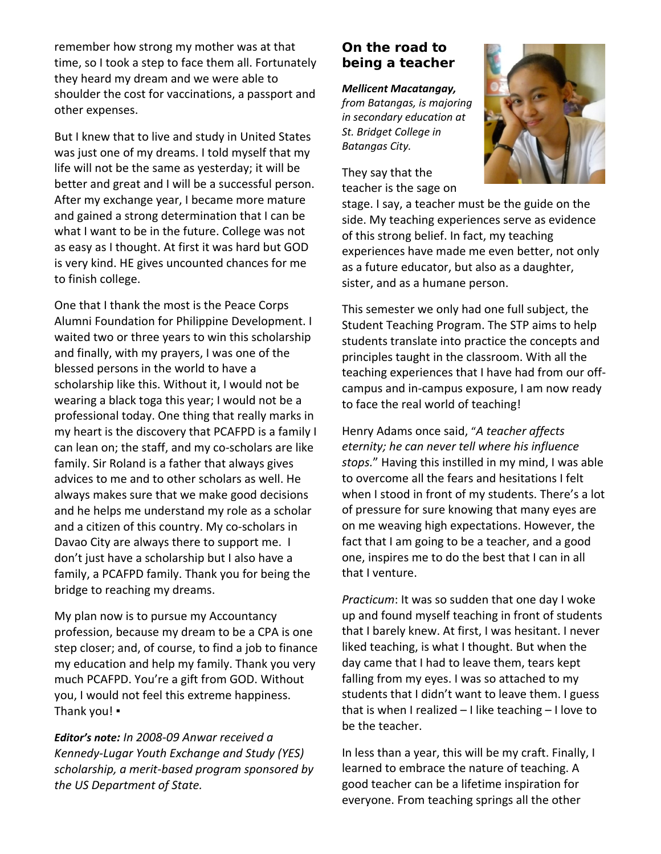remember how strong my mother was at that time, so I took a step to face them all. Fortunately they heard my dream and we were able to shoulder the cost for vaccinations, a passport and other expenses.

But I knew that to live and study in United States was just one of my dreams. I told myself that my life will not be the same as yesterday; it will be better and great and I will be a successful person. After my exchange year, I became more mature and gained a strong determination that I can be what I want to be in the future. College was not as easy as I thought. At first it was hard but GOD is very kind. HE gives uncounted chances for me to finish college.

One that I thank the most is the Peace Corps Alumni Foundation for Philippine Development. I waited two or three years to win this scholarship and finally, with my prayers, I was one of the blessed persons in the world to have a scholarship like this. Without it, I would not be wearing a black toga this year; I would not be a professional today. One thing that really marks in my heart is the discovery that PCAFPD is a family I can lean on; the staff, and my co-scholars are like family. Sir Roland is a father that always gives advices to me and to other scholars as well. He always makes sure that we make good decisions and he helps me understand my role as a scholar and a citizen of this country. My co-scholars in Davao City are always there to support me. I don't just have a scholarship but I also have a family, a PCAFPD family. Thank you for being the bridge to reaching my dreams.

My plan now is to pursue my Accountancy profession, because my dream to be a CPA is one step closer; and, of course, to find a job to finance my education and help my family. Thank you very much PCAFPD. You're a gift from GOD. Without you, I would not feel this extreme happiness. Thank you! ▪

*Editor's note: In 2008-09 Anwar received a Kennedy-Lugar Youth Exchange and Study (YES) scholarship, a merit-based program sponsored by the US Department of State.*

# **On the road to being a teacher**

#### *Mellicent Macatangay,*

*from Batangas, is majoring in secondary education at St. Bridget College in Batangas City.*

They say that the teacher is the sage on



stage. I say, a teacher must be the guide on the side. My teaching experiences serve as evidence of this strong belief. In fact, my teaching experiences have made me even better, not only as a future educator, but also as a daughter, sister, and as a humane person.

This semester we only had one full subject, the Student Teaching Program. The STP aims to help students translate into practice the concepts and principles taught in the classroom. With all the teaching experiences that I have had from our offcampus and in-campus exposure, I am now ready to face the real world of teaching!

Henry Adams once said, "*[A teacher affects](http://www.brainyquote.com/quotes/quotes/h/henryadams108018.html)  [eternity; he can never tell where his influence](http://www.brainyquote.com/quotes/quotes/h/henryadams108018.html)  [stops.](http://www.brainyquote.com/quotes/quotes/h/henryadams108018.html)*" Having this instilled in my mind, I was able to overcome all the fears and hesitations I felt when I stood in front of my students. There's a lot of pressure for sure knowing that many eyes are on me weaving high expectations. However, the fact that I am going to be a teacher, and a good one, inspires me to do the best that I can in all that I venture.

*Practicum*: It was so sudden that one day I woke up and found myself teaching in front of students that I barely knew. At first, I was hesitant. I never liked teaching, is what I thought. But when the day came that I had to leave them, tears kept falling from my eyes. I was so attached to my students that I didn't want to leave them. I guess that is when I realized – I like teaching – I love to be the teacher.

In less than a year, this will be my craft. Finally, I learned to embrace the nature of teaching. A good teacher can be a lifetime inspiration for everyone. From teaching springs all the other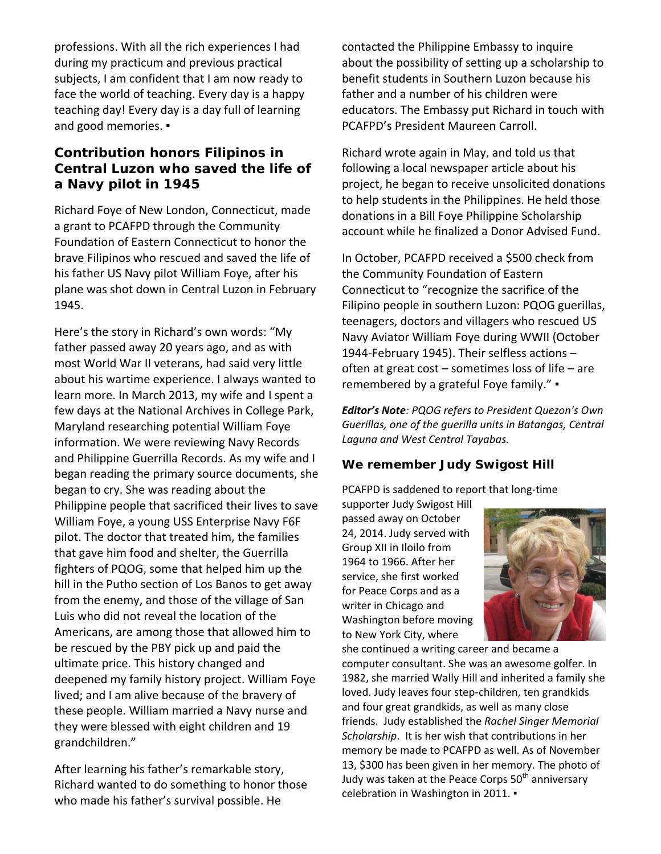professions. With all the rich experiences I had during my practicum and previous practical subjects, I am confident that I am now ready to face the world of teaching. Every day is a happy teaching day! Every day is a day full of learning and good memories. •

# **Contribution honors Filipinos in Central Luzon who saved the life of a Navy pilot in 1945**

Richard Foye of New London, Connecticut, made a grant to PCAFPD through the Community Foundation of Eastern Connecticut to honor the brave Filipinos who rescued and saved the life of his father US Navy pilot William Foye, after his plane was shot down in Central Luzon in February 1945.

Here's the story in Richard's own words: "My father passed away 20 years ago, and as with most World War II veterans, had said very little about his wartime experience. I always wanted to learn more. In March 2013, my wife and I spent a few days at the National Archives in College Park, Maryland researching potential William Foye information. We were reviewing Navy Records and Philippine Guerrilla Records. As my wife and I began reading the primary source documents, she began to cry. She was reading about the Philippine people that sacrificed their lives to save William Foye, a young USS Enterprise Navy F6F pilot. The doctor that treated him, the families that gave him food and shelter, the Guerrilla fighters of PQOG, some that helped him up the hill in the Putho section of Los Banos to get away from the enemy, and those of the village of San Luis who did not reveal the location of the Americans, are among those that allowed him to be rescued by the PBY pick up and paid the ultimate price. This history changed and deepened my family history project. William Foye lived; and I am alive because of the bravery of these people. William married a Navy nurse and they were blessed with eight children and 19 grandchildren."

After learning his father's remarkable story, Richard wanted to do something to honor those who made his father's survival possible. He

contacted the Philippine Embassy to inquire about the possibility of setting up a scholarship to benefit students in Southern Luzon because his father and a number of his children were educators. The Embassy put Richard in touch with PCAFPD's President Maureen Carroll.

Richard wrote again in May, and told us that following a local newspaper article about his project, he began to receive unsolicited donations to help students in the Philippines. He held those donations in a Bill Foye Philippine Scholarship account while he finalized a Donor Advised Fund.

In October, PCAFPD received a \$500 check from the Community Foundation of Eastern Connecticut to "recognize the sacrifice of the Filipino people in southern Luzon: PQOG guerillas, teenagers, doctors and villagers who rescued US Navy Aviator William Foye during WWII (October 1944-February 1945). Their selfless actions – often at great cost – sometimes loss of life – are remembered by a grateful Foye family." ▪

*Editor's Note: PQOG refers to President Quezon's Own Guerillas, one of the guerilla units in Batangas, Central Laguna and West Central Tayabas.*

## **We remember Judy Swigost Hill**

PCAFPD is saddened to report that long-time

supporter Judy Swigost Hill passed away on October 24, 2014. Judy served with Group XII in Iloilo from 1964 to 1966. After her service, she first worked for Peace Corps and as a writer in Chicago and Washington before moving to New York City, where



she continued a writing career and became a computer consultant. She was an awesome golfer. In 1982, she married Wally Hill and inherited a family she loved. Judy leaves four step-children, ten grandkids and four great grandkids, as well as many close friends. Judy established the *Rachel Singer Memorial Scholarship*. It is her wish that contributions in her memory be made to PCAFPD as well. As of November 13, \$300 has been given in her memory. The photo of Judy was taken at the Peace Corps  $50<sup>th</sup>$  anniversary celebration in Washington in 2011. •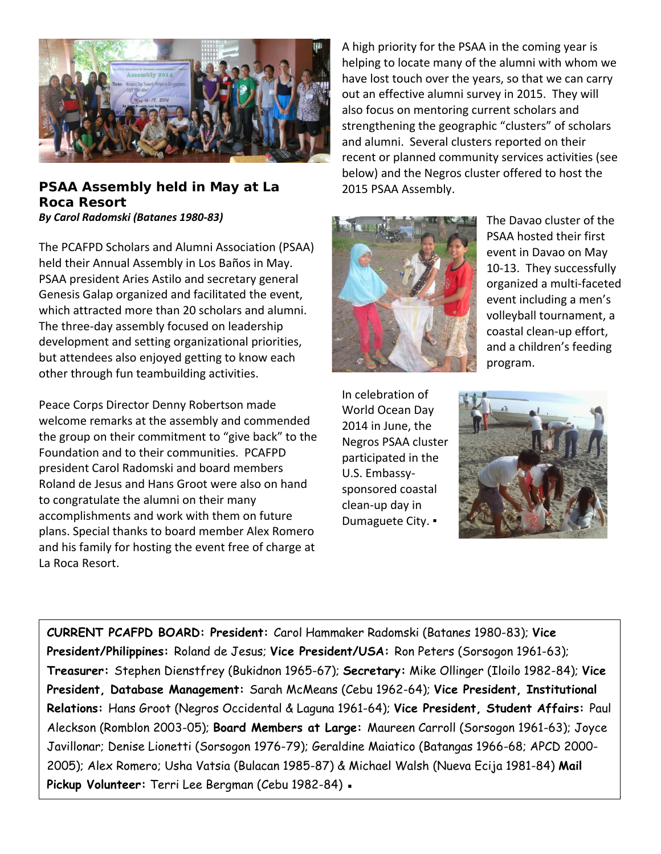

### **PSAA Assembly held in May at La Roca Resort** *By Carol Radomski (Batanes 1980-83)*

The PCAFPD Scholars and Alumni Association (PSAA) held their Annual Assembly in Los Baños in May. PSAA president Aries Astilo and secretary general Genesis Galap organized and facilitated the event, which attracted more than 20 scholars and alumni. The three-day assembly focused on leadership development and setting organizational priorities, but attendees also enjoyed getting to know each other through fun teambuilding activities.

Peace Corps Director Denny Robertson made welcome remarks at the assembly and commended the group on their commitment to "give back" to the Foundation and to their communities. PCAFPD president Carol Radomski and board members Roland de Jesus and Hans Groot were also on hand to congratulate the alumni on their many accomplishments and work with them on future plans. Special thanks to board member Alex Romero and his family for hosting the event free of charge at La Roca Resort.

A high priority for the PSAA in the coming year is helping to locate many of the alumni with whom we have lost touch over the years, so that we can carry out an effective alumni survey in 2015. They will also focus on mentoring current scholars and strengthening the geographic "clusters" of scholars and alumni. Several clusters reported on their recent or planned community services activities (see below) and the Negros cluster offered to host the 2015 PSAA Assembly.



The Davao cluster of the PSAA hosted their first event in Davao on May 10-13. They successfully organized a multi-faceted event including a men's volleyball tournament, a coastal clean-up effort, and a children's feeding program.

In celebration of World Ocean Day 2014 in June, the Negros PSAA cluster participated in the U.S. Embassysponsored coastal clean-up day in Dumaguete City. ▪



1

**CURRENT PCAFPD BOARD: President:** Carol Hammaker Radomski (Batanes 1980-83); **Vice President/Philippines:** Roland de Jesus; **Vice President/USA:** Ron Peters (Sorsogon 1961-63); **Treasurer:** Stephen Dienstfrey (Bukidnon 1965-67); **Secretary:** Mike Ollinger (Iloilo 1982-84); **Vice President, Database Management:** Sarah McMeans (Cebu 1962-64); **Vice President, Institutional Relations:** Hans Groot (Negros Occidental & Laguna 1961-64); **Vice President, Student Affairs:** Paul Aleckson (Romblon 2003-05); **Board Members at Large:** Maureen Carroll (Sorsogon 1961-63); Joyce Javillonar; Denise Lionetti (Sorsogon 1976-79); Geraldine Maiatico (Batangas 1966-68; APCD 2000- 2005); Alex Romero; Usha Vatsia (Bulacan 1985-87) & Michael Walsh (Nueva Ecija 1981-84) **Mail Pickup Volunteer:** Terri Lee Bergman (Cebu 1982-84) ▪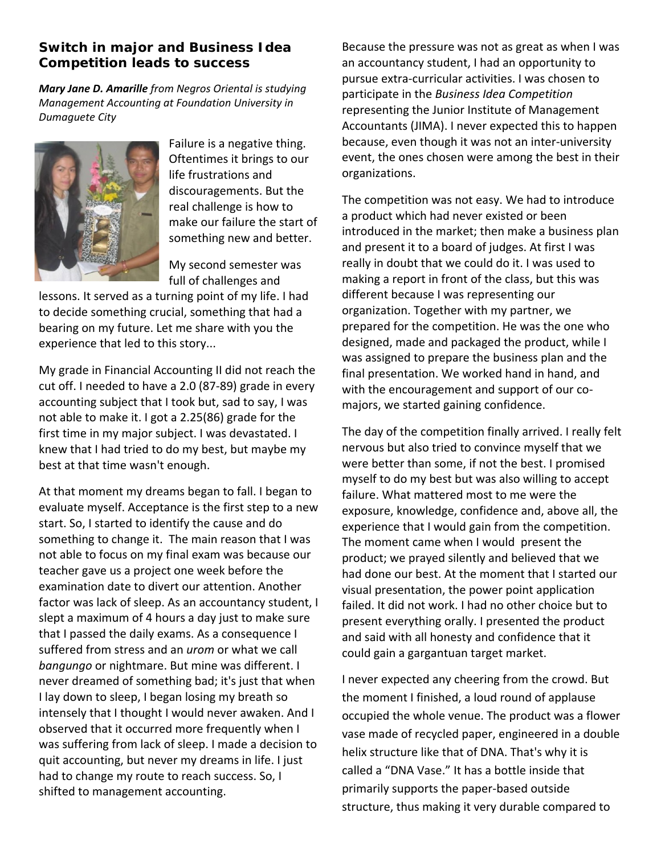# **Switch in major and** *Business Idea Competition* **leads to success**

*Mary Jane D. Amarille from Negros Oriental is studying Management Accounting at Foundation University in Dumaguete City*



Failure is a negative thing. Oftentimes it brings to our life frustrations and discouragements. But the real challenge is how to make our failure the start of something new and better.

My second semester was full of challenges and

lessons. It served as a turning point of my life. I had to decide something crucial, something that had a bearing on my future. Let me share with you the experience that led to this story...

My grade in Financial Accounting II did not reach the cut off. I needed to have a 2.0 (87-89) grade in every accounting subject that I took but, sad to say, I was not able to make it. I got a 2.25(86) grade for the first time in my major subject. I was devastated. I knew that I had tried to do my best, but maybe my best at that time wasn't enough.

At that moment my dreams began to fall. I began to evaluate myself. Acceptance is the first step to a new start. So, I started to identify the cause and do something to change it. The main reason that I was not able to focus on my final exam was because our teacher gave us a project one week before the examination date to divert our attention. Another factor was lack of sleep. As an accountancy student, I slept a maximum of 4 hours a day just to make sure that I passed the daily exams. As a consequence I suffered from stress and an *urom* or what we call *bangungo* or nightmare. But mine was different. I never dreamed of something bad; it's just that when I lay down to sleep, I began losing my breath so intensely that I thought I would never awaken. And I observed that it occurred more frequently when I was suffering from lack of sleep. I made a decision to quit accounting, but never my dreams in life. I just had to change my route to reach success. So, I shifted to management accounting.

Because the pressure was not as great as when I was an accountancy student, I had an opportunity to pursue extra-curricular activities. I was chosen to participate in the *Business Idea Competition* representing the Junior Institute of Management Accountants (JIMA). I never expected this to happen because, even though it was not an inter-university event, the ones chosen were among the best in their organizations.

The competition was not easy. We had to introduce a product which had never existed or been introduced in the market; then make a business plan and present it to a board of judges. At first I was really in doubt that we could do it. I was used to making a report in front of the class, but this was different because I was representing our organization. Together with my partner, we prepared for the competition. He was the one who designed, made and packaged the product, while I was assigned to prepare the business plan and the final presentation. We worked hand in hand, and with the encouragement and support of our comajors, we started gaining confidence.

The day of the competition finally arrived. I really felt nervous but also tried to convince myself that we were better than some, if not the best. I promised myself to do my best but was also willing to accept failure. What mattered most to me were the exposure, knowledge, confidence and, above all, the experience that I would gain from the competition. The moment came when I would present the product; we prayed silently and believed that we had done our best. At the moment that I started our visual presentation, the power point application failed. It did not work. I had no other choice but to present everything orally. I presented the product and said with all honesty and confidence that it could gain a gargantuan target market.

I never expected any cheering from the crowd. But the moment I finished, a loud round of applause occupied the whole venue. The product was a flower vase made of recycled paper, engineered in a double helix structure like that of DNA. That's why it is called a "DNA Vase." It has a bottle inside that primarily supports the paper-based outside structure, thus making it very durable compared to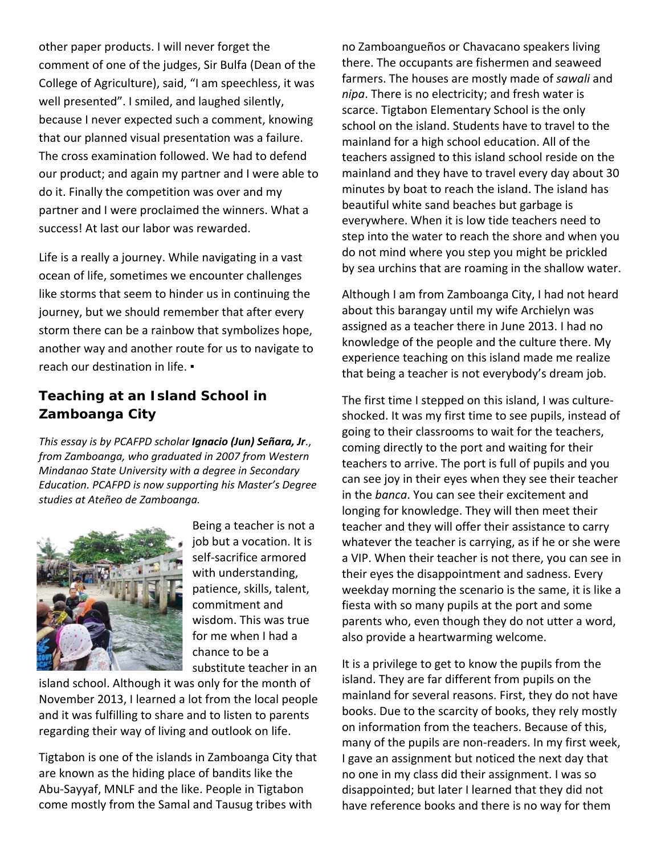other paper products. I will never forget the comment of one of the judges, Sir Bulfa (Dean of the College of Agriculture), said, "I am speechless, it was well presented". I smiled, and laughed silently, because I never expected such a comment, knowing that our planned visual presentation was a failure. The cross examination followed. We had to defend our product; and again my partner and I were able to do it. Finally the competition was over and my partner and I were proclaimed the winners. What a success! At last our labor was rewarded.

Life is a really a journey. While navigating in a vast ocean of life, sometimes we encounter challenges like storms that seem to hinder us in continuing the journey, but we should remember that after every storm there can be a rainbow that symbolizes hope, another way and another route for us to navigate to reach our destination in life. ▪

# **Teaching at an Island School in Zamboanga City**

*This essay is by PCAFPD scholar Ignacio (Jun) Señara, Jr*., *from Zamboanga, who graduated in 2007 from Western Mindanao State University with a degree in Secondary Education. PCAFPD is now supporting his Master's Degree studies at Ateñeo de Zamboanga.*



Being a teacher is not a job but a vocation. It is self-sacrifice armored with understanding, patience, skills, talent, commitment and wisdom. This was true for me when I had a chance to be a substitute teacher in an

island school. Although it was only for the month of November 2013, I learned a lot from the local people and it was fulfilling to share and to listen to parents regarding their way of living and outlook on life.

Tigtabon is one of the islands in Zamboanga City that are known as the hiding place of bandits like the Abu-Sayyaf, MNLF and the like. People in Tigtabon come mostly from the Samal and Tausug tribes with

no Zamboangueños or Chavacano speakers living there. The occupants are fishermen and seaweed farmers. The houses are mostly made of *sawali* and *nipa*. There is no electricity; and fresh water is scarce. Tigtabon Elementary School is the only school on the island. Students have to travel to the mainland for a high school education. All of the teachers assigned to this island school reside on the mainland and they have to travel every day about 30 minutes by boat to reach the island. The island has beautiful white sand beaches but garbage is everywhere. When it is low tide teachers need to step into the water to reach the shore and when you do not mind where you step you might be prickled by sea urchins that are roaming in the shallow water.

Although I am from Zamboanga City, I had not heard about this barangay until my wife Archielyn was assigned as a teacher there in June 2013. I had no knowledge of the people and the culture there. My experience teaching on this island made me realize that being a teacher is not everybody's dream job.

The first time I stepped on this island, I was cultureshocked. It was my first time to see pupils, instead of going to their classrooms to wait for the teachers, coming directly to the port and waiting for their teachers to arrive. The port is full of pupils and you can see joy in their eyes when they see their teacher in the *banca*. You can see their excitement and longing for knowledge. They will then meet their teacher and they will offer their assistance to carry whatever the teacher is carrying, as if he or she were a VIP. When their teacher is not there, you can see in their eyes the disappointment and sadness. Every weekday morning the scenario is the same, it is like a fiesta with so many pupils at the port and some parents who, even though they do not utter a word, also provide a heartwarming welcome.

It is a privilege to get to know the pupils from the island. They are far different from pupils on the mainland for several reasons. First, they do not have books. Due to the scarcity of books, they rely mostly on information from the teachers. Because of this, many of the pupils are non-readers. In my first week, I gave an assignment but noticed the next day that no one in my class did their assignment. I was so disappointed; but later I learned that they did not have reference books and there is no way for them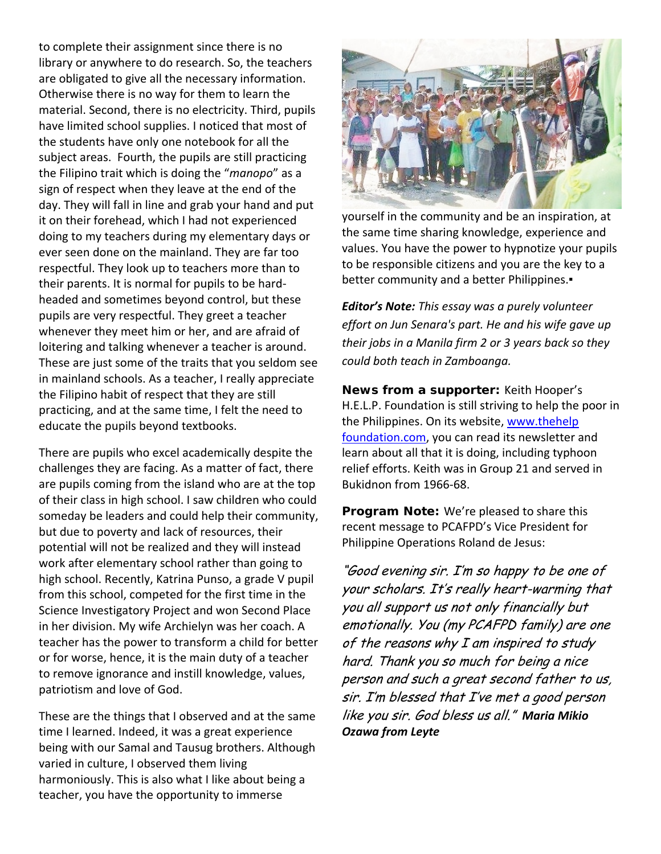to complete their assignment since there is no library or anywhere to do research. So, the teachers are obligated to give all the necessary information. Otherwise there is no way for them to learn the material. Second, there is no electricity. Third, pupils have limited school supplies. I noticed that most of the students have only one notebook for all the subject areas. Fourth, the pupils are still practicing the Filipino trait which is doing the "*manopo*" as a sign of respect when they leave at the end of the day. They will fall in line and grab your hand and put it on their forehead, which I had not experienced doing to my teachers during my elementary days or ever seen done on the mainland. They are far too respectful. They look up to teachers more than to their parents. It is normal for pupils to be hardheaded and sometimes beyond control, but these pupils are very respectful. They greet a teacher whenever they meet him or her, and are afraid of loitering and talking whenever a teacher is around. These are just some of the traits that you seldom see in mainland schools. As a teacher, I really appreciate the Filipino habit of respect that they are still practicing, and at the same time, I felt the need to educate the pupils beyond textbooks.

There are pupils who excel academically despite the challenges they are facing. As a matter of fact, there are pupils coming from the island who are at the top of their class in high school. I saw children who could someday be leaders and could help their community, but due to poverty and lack of resources, their potential will not be realized and they will instead work after elementary school rather than going to high school. Recently, Katrina Punso, a grade V pupil from this school, competed for the first time in the Science Investigatory Project and won Second Place in her division. My wife Archielyn was her coach. A teacher has the power to transform a child for better or for worse, hence, it is the main duty of a teacher to remove ignorance and instill knowledge, values, patriotism and love of God.

These are the things that I observed and at the same time I learned. Indeed, it was a great experience being with our Samal and Tausug brothers. Although varied in culture, I observed them living harmoniously. This is also what I like about being a teacher, you have the opportunity to immerse



yourself in the community and be an inspiration, at the same time sharing knowledge, experience and values. You have the power to hypnotize your pupils to be responsible citizens and you are the key to a better community and a better Philippines.

*Editor's Note: This essay was a purely volunteer effort on Jun Senara's part. He and his wife gave up their jobs in a Manila firm 2 or 3 years back so they could both teach in Zamboanga.* 

*News from a supporter:* Keith Hooper's H.E.L.P. Foundation is still striving to help the poor in the Philippines. On its website, www.thehelp foundation.com, you can read its newsletter and learn about all that it is doing, including typhoon relief efforts. Keith was in Group 21 and served in Bukidnon from 1966-68.

*Program Note:* We're pleased to share this recent message to PCAFPD's Vice President for Philippine Operations Roland de Jesus:

"Good evening sir. I'm so happy to be one of your scholars. It's really heart-warming that you all support us not only financially but emotionally. You (my PCAFPD family) are one of the reasons why  $I$  am inspired to study hard. Thank you so much for being a nice person and such a great second father to us, sir. I'm blessed that I've met a good person like you sir. God bless us all." *Maria Mikio Ozawa from Leyte*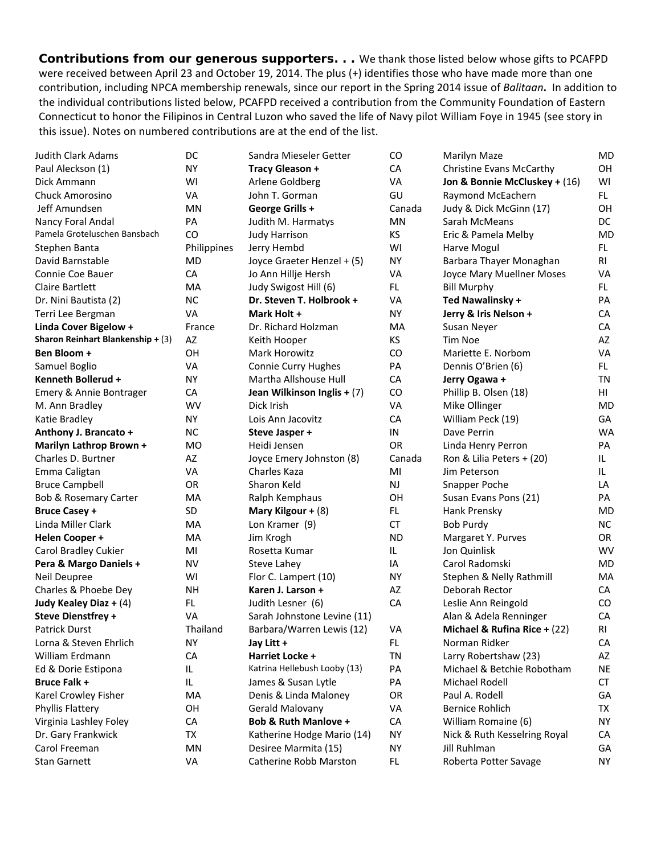**Contributions from our generous supporters. .** . We thank those listed below whose gifts to PCAFPD were received between April 23 and October 19, 2014. The plus (+) identifies those who have made more than one contribution, including NPCA membership renewals, since our report in the Spring 2014 issue of *Balitaan***.** In addition to the individual contributions listed below, PCAFPD received a contribution from the Community Foundation of Eastern Connecticut to honor the Filipinos in Central Luzon who saved the life of Navy pilot William Foye in 1945 (see story in this issue). Notes on numbered contributions are at the end of the list.

| Judith Clark Adams                | DC          | Sandra Mieseler Getter          | CO        | Marilyn Maze                  | MD        |
|-----------------------------------|-------------|---------------------------------|-----------|-------------------------------|-----------|
| Paul Aleckson (1)                 | NΥ          | <b>Tracy Gleason +</b>          | CA        | Christine Evans McCarthy      | <b>OH</b> |
| Dick Ammann                       | W١          | Arlene Goldberg                 | VA        | Jon & Bonnie McCluskey + (16) | WI        |
| <b>Chuck Amorosino</b>            | VA          | John T. Gorman                  | GU        | Raymond McEachern             | FL.       |
| Jeff Amundsen                     | MN          | George Grills +                 | Canada    | Judy & Dick McGinn (17)       | OН        |
| Nancy Foral Andal                 | PA          | Judith M. Harmatys              | ΜN        | Sarah McMeans                 | <b>DC</b> |
| Pamela Groteluschen Bansbach      | CO          | <b>Judy Harrison</b>            | KS        | Eric & Pamela Melby           | <b>MD</b> |
| Stephen Banta                     | Philippines | Jerry Hembd                     | WI        | Harve Mogul                   | FL.       |
| David Barnstable                  | MD          | Joyce Graeter Henzel + (5)      | <b>NY</b> | Barbara Thayer Monaghan       | <b>RI</b> |
| Connie Coe Bauer                  | CA          | Jo Ann Hillje Hersh             | VA        | Joyce Mary Muellner Moses     | <b>VA</b> |
| <b>Claire Bartlett</b>            | MA          | Judy Swigost Hill (6)           | FL.       | <b>Bill Murphy</b>            | FL.       |
| Dr. Nini Bautista (2)             | <b>NC</b>   | Dr. Steven T. Holbrook +        | VA        | Ted Nawalinsky +              | PA        |
| Terri Lee Bergman                 | VA          | Mark Holt +                     | NΥ        | Jerry & Iris Nelson +         | CA        |
| Linda Cover Bigelow +             | France      | Dr. Richard Holzman             | MA        | Susan Neyer                   | CA        |
| Sharon Reinhart Blankenship + (3) | AZ          | Keith Hooper                    | KS        | Tim Noe                       | AZ        |
| Ben Bloom +                       | OH          | <b>Mark Horowitz</b>            | CO        | Mariette E. Norbom            | <b>VA</b> |
| Samuel Boglio                     | VA          | Connie Curry Hughes             | PA        | Dennis O'Brien (6)            | FL.       |
| Kenneth Bollerud +                | <b>NY</b>   | Martha Allshouse Hull           | CA        | Jerry Ogawa +                 | <b>TN</b> |
| Emery & Annie Bontrager           | CA          | Jean Wilkinson Inglis + (7)     | CO        | Phillip B. Olsen (18)         | HI        |
| M. Ann Bradley                    | WV          | Dick Irish                      | VA        | Mike Ollinger                 | <b>MD</b> |
| Katie Bradley                     | <b>NY</b>   | Lois Ann Jacovitz               | CA        | William Peck (19)             | GA        |
| Anthony J. Brancato +             | <b>NC</b>   | Steve Jasper +                  | IN        | Dave Perrin                   | <b>WA</b> |
| Marilyn Lathrop Brown +           | <b>MO</b>   | Heidi Jensen                    | OR        | Linda Henry Perron            | PA        |
| Charles D. Burtner                | AZ          | Joyce Emery Johnston (8)        | Canada    | Ron & Lilia Peters + (20)     | IL.       |
| Emma Caligtan                     | VA          | Charles Kaza                    | MI        | Jim Peterson                  | IL.       |
| <b>Bruce Campbell</b>             | OR          | Sharon Keld                     | NJ        | Snapper Poche                 | LA        |
| Bob & Rosemary Carter             | MA          | Ralph Kemphaus                  | OH        | Susan Evans Pons (21)         | PA        |
| <b>Bruce Casey +</b>              | SD          | Mary Kilgour + (8)              | FL.       | Hank Prensky                  | <b>MD</b> |
| Linda Miller Clark                | MA          | Lon Kramer (9)                  | CT        | <b>Bob Purdy</b>              | <b>NC</b> |
| <b>Helen Cooper +</b>             | MA          | Jim Krogh                       | <b>ND</b> | Margaret Y. Purves            | <b>OR</b> |
| Carol Bradley Cukier              | MI          | Rosetta Kumar                   | IL        | Jon Quinlisk                  | <b>WV</b> |
| Pera & Margo Daniels +            | <b>NV</b>   | Steve Lahey                     | IA        | Carol Radomski                | <b>MD</b> |
| Neil Deupree                      | WI          | Flor C. Lampert (10)            | NY        | Stephen & Nelly Rathmill      | MA        |
| Charles & Phoebe Dey              | NΗ          | Karen J. Larson +               | AZ        | Deborah Rector                | CA        |
| Judy Kealey Diaz + (4)            | FL.         | Judith Lesner (6)               | CA        | Leslie Ann Reingold           | CO        |
| <b>Steve Dienstfrey +</b>         | VA          | Sarah Johnstone Levine (11)     |           | Alan & Adela Renninger        | CA        |
| Patrick Durst                     | Thailand    | Barbara/Warren Lewis (12)       | VA        | Michael & Rufina Rice + (22)  | RI        |
| Lorna & Steven Ehrlich            | NY.         | Jay Litt +                      | FL.       | Norman Ridker                 | CA        |
| William Erdmann                   | CA          | Harriet Locke +                 | <b>TN</b> | Larry Robertshaw (23)         | AZ        |
| Ed & Dorie Estipona               | IL          | Katrina Hellebush Looby (13)    | PA        | Michael & Betchie Robotham    | <b>NE</b> |
| <b>Bruce Falk +</b>               | IL          | James & Susan Lytle             | PA        | Michael Rodell                | CT        |
| Karel Crowley Fisher              | MA          | Denis & Linda Maloney           | OR        | Paul A. Rodell                | GA        |
| Phyllis Flattery                  | ΟH          | Gerald Malovany                 | VA        | <b>Bernice Rohlich</b>        | TX        |
| Virginia Lashley Foley            | CA          | <b>Bob &amp; Ruth Manlove +</b> | CA        | William Romaine (6)           | NY.       |
| Dr. Gary Frankwick                | TX          | Katherine Hodge Mario (14)      | <b>NY</b> | Nick & Ruth Kesselring Royal  | CA        |
| Carol Freeman                     | ΜN          | Desiree Marmita (15)            | ΝY        | Jill Ruhlman                  | GA        |
| <b>Stan Garnett</b>               | VA          | Catherine Robb Marston          | FL        | Roberta Potter Savage         | NY        |